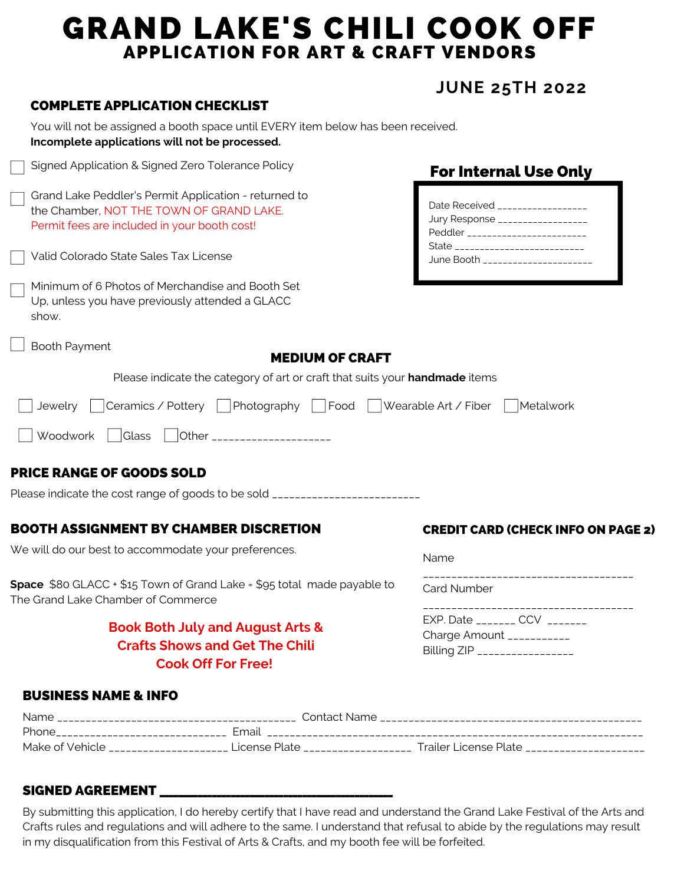## GRAND LAKE'S CHILI COOK OFF APPLICATION FOR ART & CRAFT VENDORS

### **JUNE 25TH 2022**

#### COMPLETE APPLICATION CHECKLIST

| Signed Application & Signed Zero Tolerance Policy                                                                                                 | <b>For Internal Use Only</b>                                                                                                                                                       |  |
|---------------------------------------------------------------------------------------------------------------------------------------------------|------------------------------------------------------------------------------------------------------------------------------------------------------------------------------------|--|
| Grand Lake Peddler's Permit Application - returned to<br>the Chamber, NOT THE TOWN OF GRAND LAKE.<br>Permit fees are included in your booth cost! | Date Received __________________<br>Jury Response __________________<br>Peddler ________________________<br>State ___________________________<br>June Booth ______________________ |  |
| Valid Colorado State Sales Tax License                                                                                                            |                                                                                                                                                                                    |  |
| Minimum of 6 Photos of Merchandise and Booth Set<br>Up, unless you have previously attended a GLACC<br>show.                                      |                                                                                                                                                                                    |  |
| <b>Booth Payment</b><br><b>MEDIUM OF CRAFT</b>                                                                                                    |                                                                                                                                                                                    |  |
| Please indicate the category of art or craft that suits your <b>handmade</b> items                                                                |                                                                                                                                                                                    |  |
| Ceramics / Pottery<br>Photography<br>Jewelry<br>Food                                                                                              | Wearable Art / Fiber<br>Metalwork                                                                                                                                                  |  |

#### PRICE RANGE OF GOODS SOLD

Please indicate the cost range of goods to be sold \_\_\_\_\_\_\_\_\_\_\_\_\_\_\_\_\_\_\_\_\_\_\_\_\_\_\_\_\_

#### BOOTH ASSIGNMENT BY CHAMBER DISCRETION

Woodwork Glass Other \_\_\_\_\_\_\_\_\_\_\_\_\_\_\_\_\_\_\_\_\_

We will do our best to accommodate your preferences.

**Space** \$80 GLACC + \$15 Town of Grand Lake = \$95 total made payable to The Grand Lake Chamber of Commerce

#### **Book Both July and August Arts & Crafts Shows and Get The Chili Cook Off For Free!**

#### CREDIT CARD (CHECK INFO ON PAGE 2)

| Name |  |  |  |
|------|--|--|--|
|      |  |  |  |

Card Number

| EXP. Date CCV                 |
|-------------------------------|
| Charge Amount ___________     |
| Billing ZIP _________________ |
|                               |

#### BUSINESS NAME & INFO

| Name            | Contact<br>Name    |                       |
|-----------------|--------------------|-----------------------|
| Phone           | Email              |                       |
| Make of Vehicle | Plate<br>i icense. | Trailer License Plate |

#### SIGNED AGREEMENT \_\_\_\_

By submitting this application, I do hereby certify that I have read and understand the Grand Lake Festival of the Arts and Crafts rules and regulations and will adhere to the same. I understand that refusal to abide by the regulations may result in my disqualification from this Festival of Arts & Crafts, and my booth fee will be forfeited.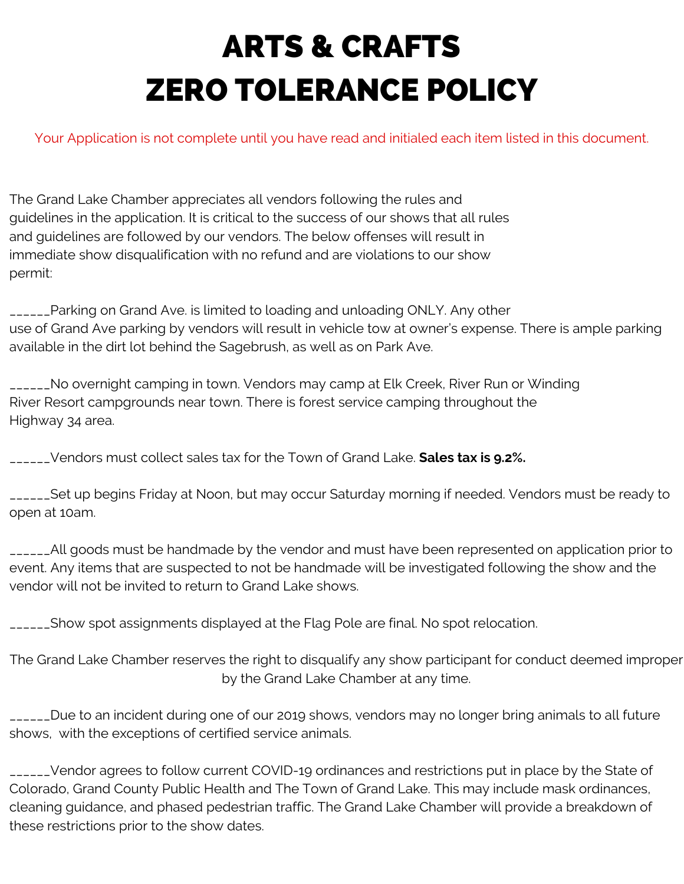# ARTS & CRAFTS ZERO TOLERANCE POLICY

Your Application is not complete until you have read and initialed each item listed in this document.

The Grand Lake Chamber appreciates all vendors following the rules and guidelines in the application. It is critical to the success of our shows that all rules and guidelines are followed by our vendors. The below offenses will result in immediate show disqualification with no refund and are violations to our show permit:

\_\_\_\_\_\_Parking on Grand Ave. is limited to loading and unloading ONLY. Any other use of Grand Ave parking by vendors will result in vehicle tow at owner's expense. There is ample parking available in the dirt lot behind the Sagebrush, as well as on Park Ave.

\_\_\_\_\_\_No overnight camping in town. Vendors may camp at Elk Creek, River Run or Winding River Resort campgrounds near town. There is forest service camping throughout the Highway 34 area.

\_\_\_\_\_\_Vendors must collect sales tax for the Town of Grand Lake. **Sales tax is 9.2%.**

\_\_\_\_\_\_Set up begins Friday at Noon, but may occur Saturday morning if needed. Vendors must be ready to open at 10am.

\_\_\_\_\_\_All goods must be handmade by the vendor and must have been represented on application prior to event. Any items that are suspected to not be handmade will be investigated following the show and the vendor will not be invited to return to Grand Lake shows.

\_\_\_\_\_\_Show spot assignments displayed at the Flag Pole are final. No spot relocation.

The Grand Lake Chamber reserves the right to disqualify any show participant for conduct deemed improper by the Grand Lake Chamber at any time.

\_\_\_\_\_\_Due to an incident during one of our 2019 shows, vendors may no longer bring animals to all future shows, with the exceptions of certified service animals.

\_\_\_\_\_\_Vendor agrees to follow current COVID-19 ordinances and restrictions put in place by the State of Colorado, Grand County Public Health and The Town of Grand Lake. This may include mask ordinances, cleaning guidance, and phased pedestrian traffic. The Grand Lake Chamber will provide a breakdown of these restrictions prior to the show dates.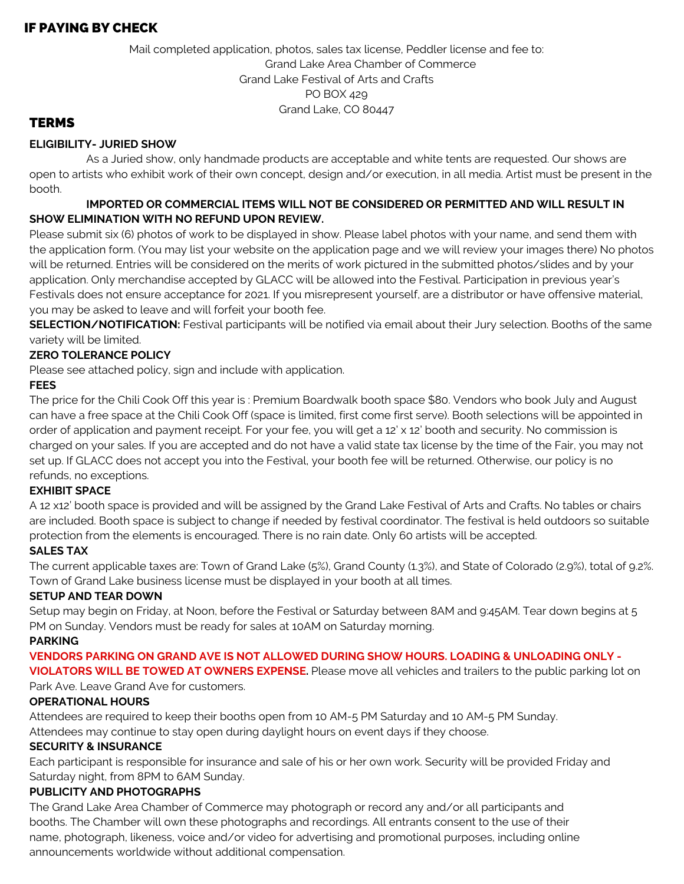#### IF PAYING BY CHECK

Mail completed application, photos, sales tax license, Peddler license and fee to: Grand Lake Area Chamber of Commerce Grand Lake Festival of Arts and Crafts PO BOX 429 Grand Lake, CO 80447

#### **TERMS**

#### **ELIGIBILITY- JURIED SHOW**

As a Juried show, only handmade products are acceptable and white tents are requested. Our shows are open to artists who exhibit work of their own concept, design and/or execution, in all media. Artist must be present in the booth.

#### **IMPORTED OR COMMERCIAL ITEMS WILL NOT BE CONSIDERED OR PERMITTED AND WILL RESULT IN SHOW ELIMINATION WITH NO REFUND UPON REVIEW.**

Please submit six (6) photos of work to be displayed in show. Please label photos with your name, and send them with the application form. (You may list your website on the application page and we will review your images there) No photos will be returned. Entries will be considered on the merits of work pictured in the submitted photos/slides and by your application. Only merchandise accepted by GLACC will be allowed into the Festival. Participation in previous year's Festivals does not ensure acceptance for 2021. If you misrepresent yourself, are a distributor or have offensive material, you may be asked to leave and will forfeit your booth fee.

**SELECTION/NOTIFICATION:** Festival participants will be notified via email about their Jury selection. Booths of the same variety will be limited.

#### **ZERO TOLERANCE POLICY**

Please see attached policy, sign and include with application.

#### **FEES**

The price for the Chili Cook Off this year is : Premium Boardwalk booth space \$80. Vendors who book July and August can have a free space at the Chili Cook Off (space is limited, first come first serve). Booth selections will be appointed in order of application and payment receipt. For your fee, you will get a 12' x 12' booth and security. No commission is charged on your sales. If you are accepted and do not have a valid state tax license by the time of the Fair, you may not set up. If GLACC does not accept you into the Festival, your booth fee will be returned. Otherwise, our policy is no refunds, no exceptions.

#### **EXHIBIT SPACE**

A 12 x12' booth space is provided and will be assigned by the Grand Lake Festival of Arts and Crafts. No tables or chairs are included. Booth space is subject to change if needed by festival coordinator. The festival is held outdoors so suitable protection from the elements is encouraged. There is no rain date. Only 60 artists will be accepted.

#### **SALES TAX**

The current applicable taxes are: Town of Grand Lake (5%), Grand County (1.3%), and State of Colorado (2.9%), total of 9.2%. Town of Grand Lake business license must be displayed in your booth at all times.

#### **SETUP AND TEAR DOWN**

Setup may begin on Friday, at Noon, before the Festival or Saturday between 8AM and 9:45AM. Tear down begins at 5 PM on Sunday. Vendors must be ready for sales at 10AM on Saturday morning.

#### **PARKING**

#### **VENDORS PARKING ON GRAND AVE IS NOT ALLOWED DURING SHOW HOURS. LOADING & UNLOADING ONLY -**

**VIOLATORS WILL BE TOWED AT OWNERS EXPENSE.** Please move all vehicles and trailers to the public parking lot on Park Ave. Leave Grand Ave for customers.

#### **OPERATIONAL HOURS**

Attendees are required to keep their booths open from 10 AM-5 PM Saturday and 10 AM-5 PM Sunday.

Attendees may continue to stay open during daylight hours on event days if they choose.

#### **SECURITY & INSURANCE**

Each participant is responsible for insurance and sale of his or her own work. Security will be provided Friday and Saturday night, from 8PM to 6AM Sunday.

#### **PUBLICITY AND PHOTOGRAPHS**

The Grand Lake Area Chamber of Commerce may photograph or record any and/or all participants and booths. The Chamber will own these photographs and recordings. All entrants consent to the use of their name, photograph, likeness, voice and/or video for advertising and promotional purposes, including online announcements worldwide without additional compensation.